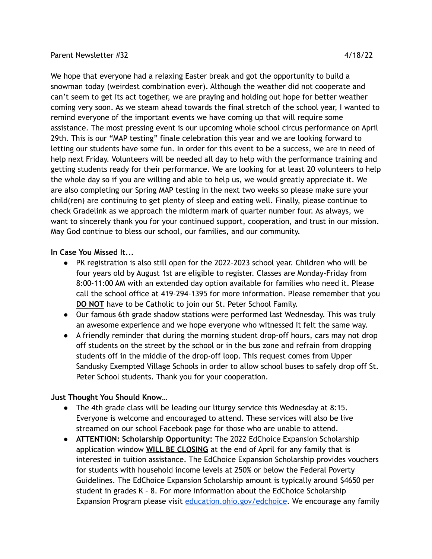## Parent Newsletter #32 4/18/22

We hope that everyone had a relaxing Easter break and got the opportunity to build a snowman today (weirdest combination ever). Although the weather did not cooperate and can't seem to get its act together, we are praying and holding out hope for better weather coming very soon. As we steam ahead towards the final stretch of the school year, I wanted to remind everyone of the important events we have coming up that will require some assistance. The most pressing event is our upcoming whole school circus performance on April 29th. This is our "MAP testing" finale celebration this year and we are looking forward to letting our students have some fun. In order for this event to be a success, we are in need of help next Friday. Volunteers will be needed all day to help with the performance training and getting students ready for their performance. We are looking for at least 20 volunteers to help the whole day so if you are willing and able to help us, we would greatly appreciate it. We are also completing our Spring MAP testing in the next two weeks so please make sure your child(ren) are continuing to get plenty of sleep and eating well. Finally, please continue to check Gradelink as we approach the midterm mark of quarter number four. As always, we want to sincerely thank you for your continued support, cooperation, and trust in our mission. May God continue to bless our school, our families, and our community.

## **In Case You Missed It...**

- PK registration is also still open for the 2022-2023 school year. Children who will be four years old by August 1st are eligible to register. Classes are Monday-Friday from 8:00-11:00 AM with an extended day option available for families who need it. Please call the school office at 419-294-1395 for more information. Please remember that you **DO NOT** have to be Catholic to join our St. Peter School Family.
- Our famous 6th grade shadow stations were performed last Wednesday. This was truly an awesome experience and we hope everyone who witnessed it felt the same way.
- A friendly reminder that during the morning student drop-off hours, cars may not drop off students on the street by the school or in the bus zone and refrain from dropping students off in the middle of the drop-off loop. This request comes from Upper Sandusky Exempted Village Schools in order to allow school buses to safely drop off St. Peter School students. Thank you for your cooperation.

## **Just Thought You Should Know…**

- The 4th grade class will be leading our liturgy service this Wednesday at 8:15. Everyone is welcome and encouraged to attend. These services will also be live streamed on our school Facebook page for those who are unable to attend.
- **ATTENTION: Scholarship Opportunity:** The 2022 EdChoice Expansion Scholarship application window **WILL BE CLOSING** at the end of April for any family that is interested in tuition assistance. The EdChoice Expansion Scholarship provides vouchers for students with household income levels at 250% or below the Federal Poverty Guidelines. The EdChoice Expansion Scholarship amount is typically around \$4650 per student in grades K – 8. For more information about the EdChoice Scholarship Expansion Program please visit [education.ohio.gov/edchoice.](http://education.ohio.gov/Topics/Other-Resources/Scholarships/EdChoice-Scholarship-Program) We encourage any family